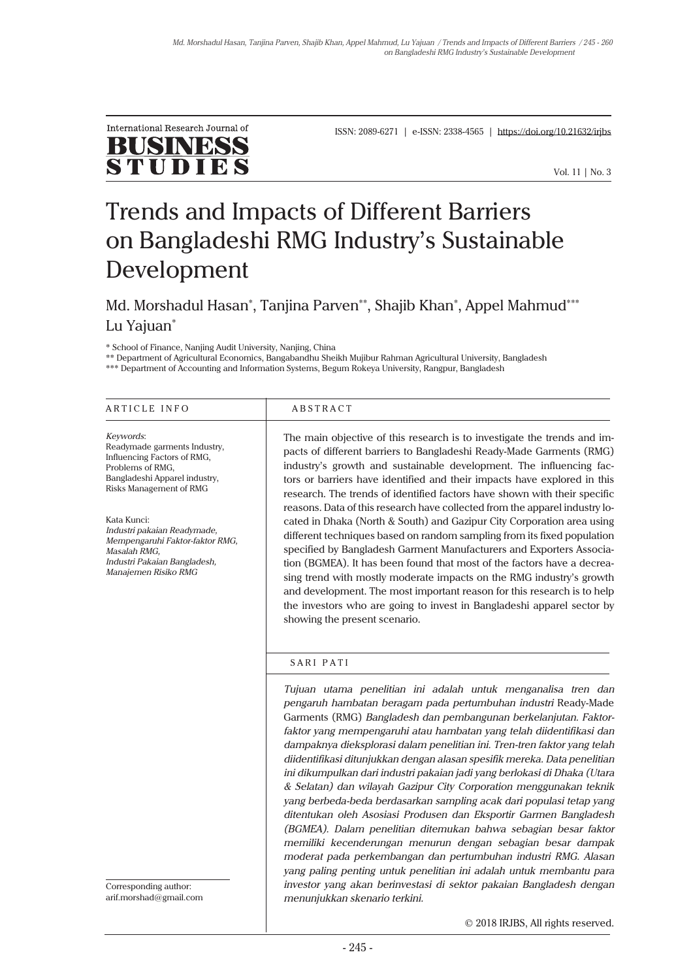

ISSN: 2089-6271 | e-ISSN: 2338-4565 | https://doi.org/10.21632/irjbs

Vol. 11 | No. 3

# Trends and Impacts of Different Barriers on Bangladeshi RMG Industry's Sustainable Development

Md. Morshadul Hasan\*, Tanjina Parven\*\*, Shajib Khan\*, Appel Mahmud\*\*\* Lu Yajuan\*

\* School of Finance, Nanjing Audit University, Nanjing, China

\*\* Department of Agricultural Economics, Bangabandhu Sheikh Mujibur Rahman Agricultural University, Bangladesh

\*\*\* Department of Accounting and Information Systems, Begum Rokeya University, Rangpur, Bangladesh

| ARTICLE INFO                                                                                                                                                                                                                                                                                                             | <b>ABSTRACT</b>                                                                                                                                                                                                                                                                                                                                                                                                                                                                                                                                                                                                                                                                                                                                                                                                                                                                                                                                                                                                                                                                                     |
|--------------------------------------------------------------------------------------------------------------------------------------------------------------------------------------------------------------------------------------------------------------------------------------------------------------------------|-----------------------------------------------------------------------------------------------------------------------------------------------------------------------------------------------------------------------------------------------------------------------------------------------------------------------------------------------------------------------------------------------------------------------------------------------------------------------------------------------------------------------------------------------------------------------------------------------------------------------------------------------------------------------------------------------------------------------------------------------------------------------------------------------------------------------------------------------------------------------------------------------------------------------------------------------------------------------------------------------------------------------------------------------------------------------------------------------------|
| Keywords:<br>Readymade garments Industry,<br>Influencing Factors of RMG,<br>Problems of RMG,<br>Bangladeshi Apparel industry,<br><b>Risks Management of RMG</b><br>Kata Kunci:<br>Industri pakaian Readymade,<br>Mempengaruhi Faktor-faktor RMG,<br>Masalah RMG,<br>Industri Pakaian Bangladesh,<br>Manajemen Risiko RMG | The main objective of this research is to investigate the trends and im-<br>pacts of different barriers to Bangladeshi Ready-Made Garments (RMG)<br>industry's growth and sustainable development. The influencing fac-<br>tors or barriers have identified and their impacts have explored in this<br>research. The trends of identified factors have shown with their specific<br>reasons. Data of this research have collected from the apparel industry lo-<br>cated in Dhaka (North & South) and Gazipur City Corporation area using<br>different techniques based on random sampling from its fixed population<br>specified by Bangladesh Garment Manufacturers and Exporters Associa-<br>tion (BGMEA). It has been found that most of the factors have a decrea-<br>sing trend with mostly moderate impacts on the RMG industry's growth<br>and development. The most important reason for this research is to help<br>the investors who are going to invest in Bangladeshi apparel sector by<br>showing the present scenario.                                                               |
|                                                                                                                                                                                                                                                                                                                          | SARI PATI<br>Tujuan utama penelitian ini adalah untuk menganalisa tren dan<br>pengaruh hambatan beragam pada pertumbuhan industri Ready-Made<br>Garments (RMG) Bangladesh dan pembangunan berkelanjutan. Faktor-<br>faktor yang mempengaruhi atau hambatan yang telah diidentifikasi dan<br>dampaknya dieksplorasi dalam penelitian ini. Tren-tren faktor yang telah<br>diidentifikasi ditunjukkan dengan alasan spesifik mereka. Data penelitian<br>ini dikumpulkan dari industri pakaian jadi yang berlokasi di Dhaka (Utara<br>& Selatan) dan wilayah Gazipur City Corporation menggunakan teknik<br>yang berbeda-beda berdasarkan sampling acak dari populasi tetap yang<br>ditentukan oleh Asosiasi Produsen dan Eksportir Garmen Bangladesh<br>(BGMEA). Dalam penelitian ditemukan bahwa sebagian besar faktor<br>memiliki kecenderungan menurun dengan sebagian besar dampak<br>moderat pada perkembangan dan pertumbuhan industri RMG. Alasan<br>yang paling penting untuk penelitian ini adalah untuk membantu para<br>investor yang akan berinvestasi di sektor pakaian Bangladesh dengan |
| Corresponding author:<br>arif.morshad@gmail.com                                                                                                                                                                                                                                                                          | menunjukkan skenario terkini.                                                                                                                                                                                                                                                                                                                                                                                                                                                                                                                                                                                                                                                                                                                                                                                                                                                                                                                                                                                                                                                                       |

© 2018 IRJBS, All rights reserved.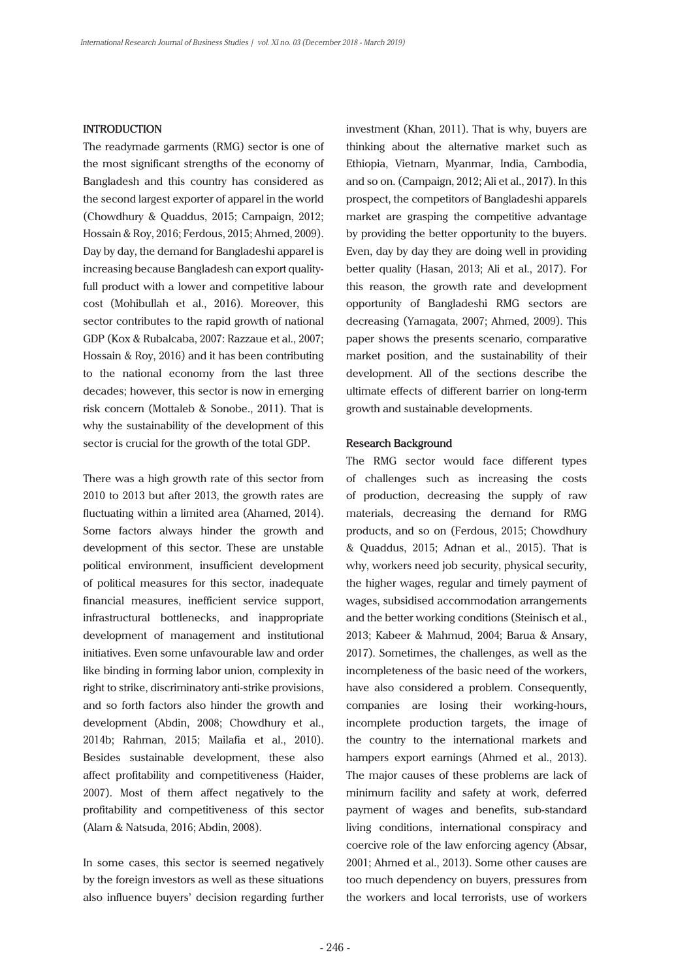# **INTRODUCTION**

The readymade garments (RMG) sector is one of the most significant strengths of the economy of Bangladesh and this country has considered as the second largest exporter of apparel in the world (Chowdhury & Quaddus, 2015; Campaign, 2012; Hossain & Roy, 2016; Ferdous, 2015; Ahmed, 2009). Day by day, the demand for Bangladeshi apparel is increasing because Bangladesh can export qualityfull product with a lower and competitive labour cost (Mohibullah et al., 2016). Moreover, this sector contributes to the rapid growth of national GDP (Kox & Rubalcaba, 2007: Razzaue et al., 2007; Hossain & Roy, 2016) and it has been contributing to the national economy from the last three decades; however, this sector is now in emerging risk concern (Mottaleb & Sonobe., 2011). That is why the sustainability of the development of this sector is crucial for the growth of the total GDP.

There was a high growth rate of this sector from 2010 to 2013 but after 2013, the growth rates are fluctuating within a limited area (Ahamed, 2014). Some factors always hinder the growth and development of this sector. These are unstable political environment, insufficient development of political measures for this sector, inadequate financial measures, inefficient service support, infrastructural bottlenecks, and inappropriate development of management and institutional initiatives. Even some unfavourable law and order like binding in forming labor union, complexity in right to strike, discriminatory anti-strike provisions, and so forth factors also hinder the growth and development (Abdin, 2008; Chowdhury et al., 2014b; Rahman, 2015; Mailafia et al., 2010). Besides sustainable development, these also affect profitability and competitiveness (Haider, 2007). Most of them affect negatively to the profitability and competitiveness of this sector (Alam & Natsuda, 2016; Abdin, 2008).

In some cases, this sector is seemed negatively by the foreign investors as well as these situations also influence buyers' decision regarding further investment (Khan, 2011). That is why, buyers are thinking about the alternative market such as Ethiopia, Vietnam, Myanmar, India, Cambodia, and so on. (Campaign, 2012; Ali et al., 2017). In this prospect, the competitors of Bangladeshi apparels market are grasping the competitive advantage by providing the better opportunity to the buyers. Even, day by day they are doing well in providing better quality (Hasan, 2013; Ali et al., 2017). For this reason, the growth rate and development opportunity of Bangladeshi RMG sectors are decreasing (Yamagata, 2007; Ahmed, 2009). This paper shows the presents scenario, comparative market position, and the sustainability of their development. All of the sections describe the ultimate effects of different barrier on long-term growth and sustainable developments.

# **Research Background**

The RMG sector would face different types of challenges such as increasing the costs of production, decreasing the supply of raw materials, decreasing the demand for RMG products, and so on (Ferdous, 2015; Chowdhury & Quaddus, 2015; Adnan et al., 2015). That is why, workers need job security, physical security, the higher wages, regular and timely payment of wages, subsidised accommodation arrangements and the better working conditions (Steinisch et al., 2013; Kabeer & Mahmud, 2004; Barua & Ansary, 2017). Sometimes, the challenges, as well as the incompleteness of the basic need of the workers, have also considered a problem. Consequently, companies are losing their working-hours, incomplete production targets, the image of the country to the international markets and hampers export earnings (Ahmed et al., 2013). The major causes of these problems are lack of minimum facility and safety at work, deferred payment of wages and benefits, sub-standard living conditions, international conspiracy and coercive role of the law enforcing agency (Absar, 2001; Ahmed et al., 2013). Some other causes are too much dependency on buyers, pressures from the workers and local terrorists, use of workers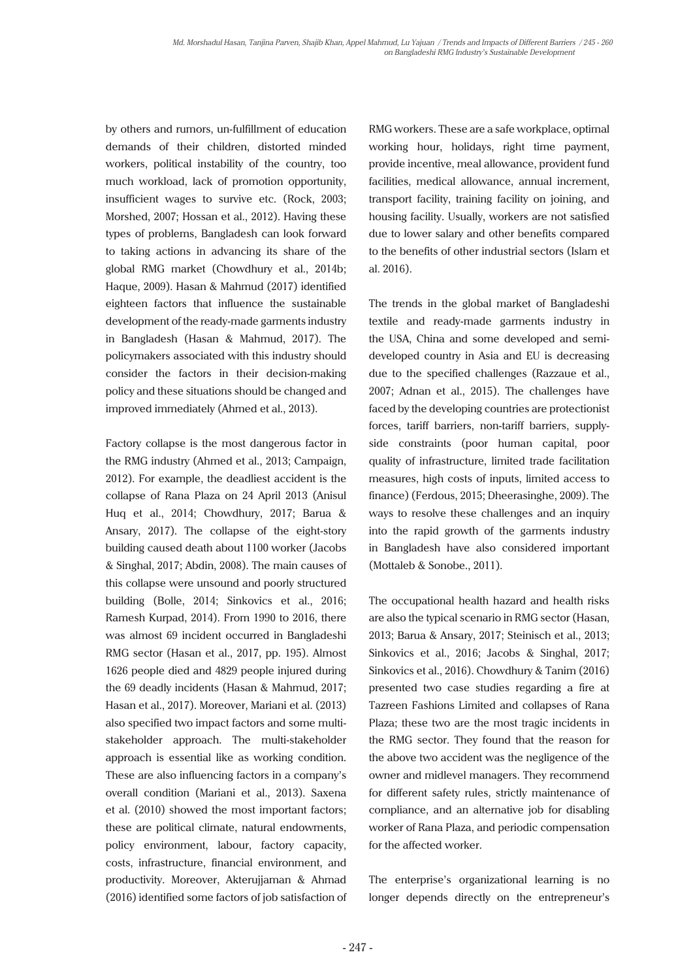by others and rumors, un-fulfillment of education demands of their children, distorted minded workers, political instability of the country, too much workload, lack of promotion opportunity, insufficient wages to survive etc. (Rock, 2003; Morshed, 2007; Hossan et al., 2012). Having these types of problems, Bangladesh can look forward to taking actions in advancing its share of the global RMG market (Chowdhury et al., 2014b; Haque, 2009). Hasan & Mahmud (2017) identified eighteen factors that influence the sustainable development of the ready-made garments industry in Bangladesh (Hasan & Mahmud, 2017). The policymakers associated with this industry should consider the factors in their decision-making policy and these situations should be changed and improved immediately (Ahmed et al., 2013).

Factory collapse is the most dangerous factor in the RMG industry (Ahmed et al., 2013; Campaign, 2012). For example, the deadliest accident is the collapse of Rana Plaza on 24 April 2013 (Anisul Huq et al., 2014; Chowdhury, 2017; Barua & Ansary, 2017). The collapse of the eight-story building caused death about 1100 worker (Jacobs & Singhal, 2017; Abdin, 2008). The main causes of this collapse were unsound and poorly structured building (Bolle, 2014; Sinkovics et al., 2016; Ramesh Kurpad, 2014). From 1990 to 2016, there was almost 69 incident occurred in Bangladeshi RMG sector (Hasan et al., 2017, pp. 195). Almost 1626 people died and 4829 people injured during the 69 deadly incidents (Hasan & Mahmud, 2017; Hasan et al., 2017). Moreover, Mariani et al. (2013) also specified two impact factors and some multistakeholder approach. The multi-stakeholder approach is essential like as working condition. These are also influencing factors in a company's overall condition (Mariani et al., 2013). Saxena et al. (2010) showed the most important factors; these are political climate, natural endowments, policy environment, labour, factory capacity, costs, infrastructure, financial environment, and productivity. Moreover, Akterujjaman & Ahmad (2016) identified some factors of job satisfaction of

RMG workers. These are a safe workplace, optimal working hour, holidays, right time payment, provide incentive, meal allowance, provident fund facilities, medical allowance, annual increment, transport facility, training facility on joining, and housing facility. Usually, workers are not satisfied due to lower salary and other benefits compared to the benefits of other industrial sectors (Islam et al. 2016).

The trends in the global market of Bangladeshi textile and ready-made garments industry in the USA, China and some developed and semideveloped country in Asia and EU is decreasing due to the specified challenges (Razzaue et al., 2007; Adnan et al., 2015). The challenges have faced by the developing countries are protectionist forces, tariff barriers, non-tariff barriers, supplyside constraints (poor human capital, poor quality of infrastructure, limited trade facilitation measures, high costs of inputs, limited access to finance) (Ferdous, 2015; Dheerasinghe, 2009). The ways to resolve these challenges and an inquiry into the rapid growth of the garments industry in Bangladesh have also considered important (Mottaleb & Sonobe., 2011).

The occupational health hazard and health risks are also the typical scenario in RMG sector (Hasan, 2013; Barua & Ansary, 2017; Steinisch et al., 2013; Sinkovics et al., 2016; Jacobs & Singhal, 2017; Sinkovics et al., 2016). Chowdhury & Tanim (2016) presented two case studies regarding a fire at Tazreen Fashions Limited and collapses of Rana Plaza; these two are the most tragic incidents in the RMG sector. They found that the reason for the above two accident was the negligence of the owner and midlevel managers. They recommend for different safety rules, strictly maintenance of compliance, and an alternative job for disabling worker of Rana Plaza, and periodic compensation for the affected worker.

The enterprise's organizational learning is no longer depends directly on the entrepreneur's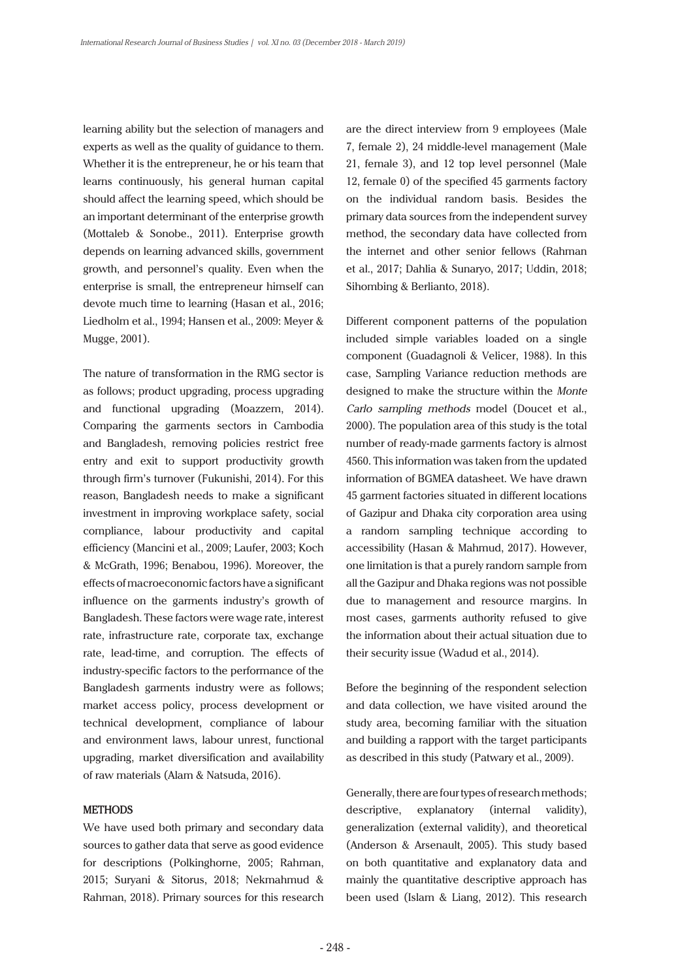learning ability but the selection of managers and experts as well as the quality of guidance to them. Whether it is the entrepreneur, he or his team that learns continuously, his general human capital should affect the learning speed, which should be an important determinant of the enterprise growth (Mottaleb & Sonobe., 2011). Enterprise growth depends on learning advanced skills, government growth, and personnel's quality. Even when the enterprise is small, the entrepreneur himself can devote much time to learning (Hasan et al., 2016; Liedholm et al., 1994; Hansen et al., 2009: Meyer & Mugge, 2001).

The nature of transformation in the RMG sector is as follows; product upgrading, process upgrading and functional upgrading (Moazzem, 2014). Comparing the garments sectors in Cambodia and Bangladesh, removing policies restrict free entry and exit to support productivity growth through firm's turnover (Fukunishi, 2014). For this reason, Bangladesh needs to make a significant investment in improving workplace safety, social compliance, labour productivity and capital efficiency (Mancini et al., 2009; Laufer, 2003; Koch & McGrath, 1996; Benabou, 1996). Moreover, the effects of macroeconomic factors have a significant influence on the garments industry's growth of Bangladesh. These factors were wage rate, interest rate, infrastructure rate, corporate tax, exchange rate, lead-time, and corruption. The effects of industry-specific factors to the performance of the Bangladesh garments industry were as follows; market access policy, process development or technical development, compliance of labour and environment laws, labour unrest, functional upgrading, market diversification and availability of raw materials (Alam & Natsuda, 2016).

# **METHODS**

We have used both primary and secondary data sources to gather data that serve as good evidence for descriptions (Polkinghorne, 2005; Rahman, 2015; Suryani & Sitorus, 2018; Nekmahmud & Rahman, 2018). Primary sources for this research

are the direct interview from 9 employees (Male 7, female 2), 24 middle-level management (Male 21, female 3), and 12 top level personnel (Male 12, female 0) of the specified 45 garments factory on the individual random basis. Besides the primary data sources from the independent survey method, the secondary data have collected from the internet and other senior fellows (Rahman et al., 2017; Dahlia & Sunaryo, 2017; Uddin, 2018; Sihombing & Berlianto, 2018).

Different component patterns of the population included simple variables loaded on a single component (Guadagnoli & Velicer, 1988). In this case, Sampling Variance reduction methods are designed to make the structure within the *Monte Carlo sampling methods* model (Doucet et al., 2000). The population area of this study is the total number of ready-made garments factory is almost 4560. This information was taken from the updated information of BGMEA datasheet. We have drawn 45 garment factories situated in different locations of Gazipur and Dhaka city corporation area using a random sampling technique according to accessibility (Hasan & Mahmud, 2017). However, one limitation is that a purely random sample from all the Gazipur and Dhaka regions was not possible due to management and resource margins. In most cases, garments authority refused to give the information about their actual situation due to their security issue (Wadud et al., 2014).

Before the beginning of the respondent selection and data collection, we have visited around the study area, becoming familiar with the situation and building a rapport with the target participants as described in this study (Patwary et al., 2009).

Generally, there are four types of research methods; descriptive, explanatory (internal validity), generalization (external validity), and theoretical (Anderson & Arsenault, 2005). This study based on both quantitative and explanatory data and mainly the quantitative descriptive approach has been used (Islam & Liang, 2012). This research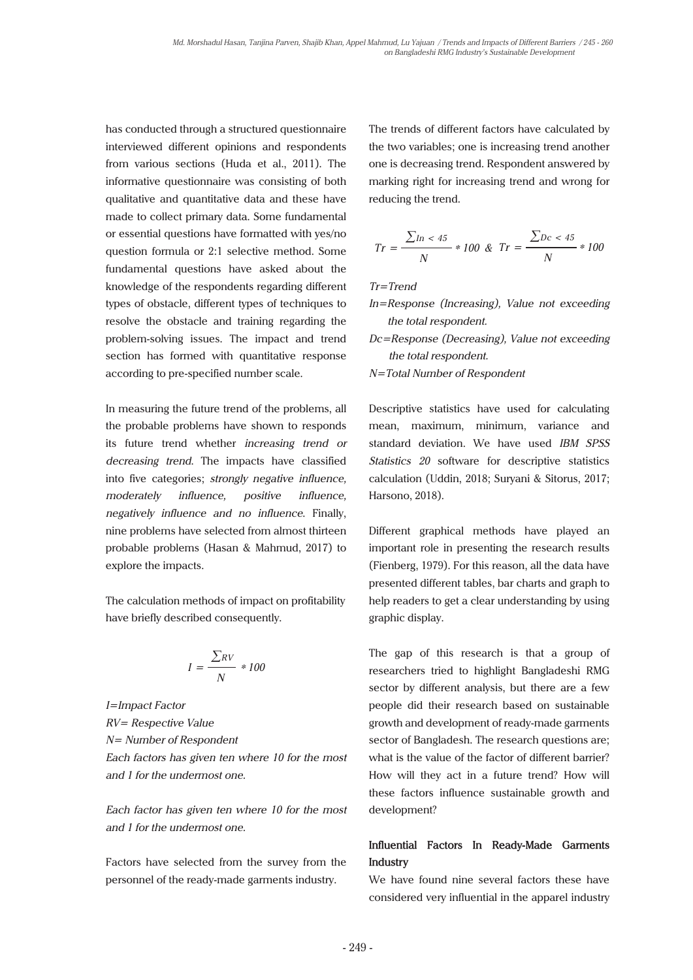has conducted through a structured questionnaire interviewed different opinions and respondents from various sections (Huda et al., 2011). The informative questionnaire was consisting of both qualitative and quantitative data and these have made to collect primary data. Some fundamental or essential questions have formatted with yes/no question formula or 2:1 selective method. Some fundamental questions have asked about the knowledge of the respondents regarding different types of obstacle, different types of techniques to resolve the obstacle and training regarding the problem-solving issues. The impact and trend section has formed with quantitative response according to pre-specified number scale.

In measuring the future trend of the problems, all the probable problems have shown to responds its future trend whether *increasing trend or decreasing trend*. The impacts have classified into five categories; *strongly negative influence, moderately influence, positive influence, negatively influence and no influence*. Finally, nine problems have selected from almost thirteen probable problems (Hasan & Mahmud, 2017) to explore the impacts.

The calculation methods of impact on profitability have briefly described consequently.

$$
I = \frac{\sum RV}{N} \cdot 100
$$

*I=Impact Factor RV= Respective Value N= Number of Respondent Each factors has given ten where 10 for the most and 1 for the undermost one.*

*Each factor has given ten where 10 for the most and 1 for the undermost one.*

Factors have selected from the survey from the personnel of the ready-made garments industry.

The trends of different factors have calculated by the two variables; one is increasing trend another one is decreasing trend. Respondent answered by marking right for increasing trend and wrong for reducing the trend.

$$
Tr = \frac{\sum \ln 45}{N} * 100 \& Tr = \frac{\sum \ln 45}{N} * 100
$$

*Tr=Trend*

- *In=Response (Increasing), Value not exceeding the total respondent.*
- *Dc=Response (Decreasing), Value not exceeding the total respondent.*

*N=Total Number of Respondent* 

Descriptive statistics have used for calculating mean, maximum, minimum, variance and standard deviation. We have used *IBM SPSS Statistics 20* software for descriptive statistics calculation (Uddin, 2018; Suryani & Sitorus, 2017; Harsono, 2018).

Different graphical methods have played an important role in presenting the research results (Fienberg, 1979). For this reason, all the data have presented different tables, bar charts and graph to help readers to get a clear understanding by using graphic display.

The gap of this research is that a group of researchers tried to highlight Bangladeshi RMG sector by different analysis, but there are a few people did their research based on sustainable growth and development of ready-made garments sector of Bangladesh. The research questions are; what is the value of the factor of different barrier? How will they act in a future trend? How will these factors influence sustainable growth and development?

# **Influential Factors In Ready-Made Garments Industry**

We have found nine several factors these have considered very influential in the apparel industry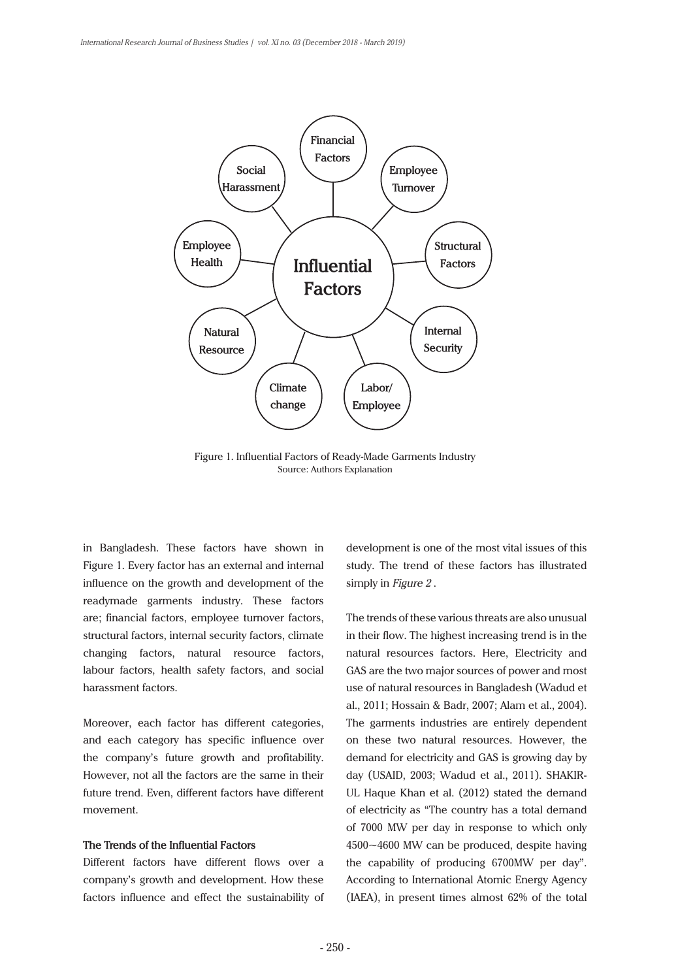

Figure 1. Influential Factors of Ready-Made Garments Industry Source: Authors Explanation

in Bangladesh. These factors have shown in Figure 1. Every factor has an external and internal influence on the growth and development of the readymade garments industry. These factors are; financial factors, employee turnover factors, structural factors, internal security factors, climate changing factors, natural resource factors, labour factors, health safety factors, and social harassment factors.

Moreover, each factor has different categories, and each category has specific influence over the company's future growth and profitability. However, not all the factors are the same in their future trend. Even, different factors have different movement.

# **The Trends of the Influential Factors**

Different factors have different flows over a company's growth and development. How these factors influence and effect the sustainability of

development is one of the most vital issues of this study. The trend of these factors has illustrated simply in *Figure 2* .

The trends of these various threats are also unusual in their flow. The highest increasing trend is in the natural resources factors. Here, Electricity and GAS are the two major sources of power and most use of natural resources in Bangladesh (Wadud et al., 2011; Hossain & Badr, 2007; Alam et al., 2004). The garments industries are entirely dependent on these two natural resources. However, the demand for electricity and GAS is growing day by day (USAID, 2003; Wadud et al., 2011). SHAKIR-UL Haque Khan et al. (2012) stated the demand of electricity as "The country has a total demand of 7000 MW per day in response to which only 4500~4600 MW can be produced, despite having the capability of producing 6700MW per day". According to International Atomic Energy Agency (IAEA), in present times almost 62% of the total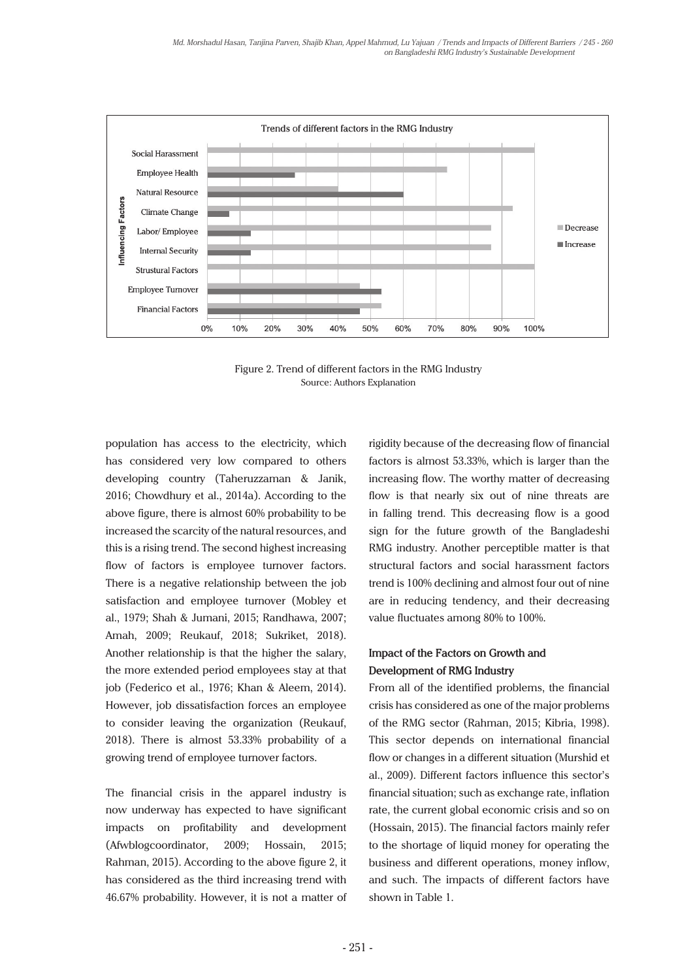

Figure 2. Trend of different factors in the RMG Industry Source: Authors Explanation

population has access to the electricity, which has considered very low compared to others developing country (Taheruzzaman & Janik, 2016; Chowdhury et al., 2014a). According to the above figure, there is almost 60% probability to be increased the scarcity of the natural resources, and this is a rising trend. The second highest increasing flow of factors is employee turnover factors. There is a negative relationship between the job satisfaction and employee turnover (Mobley et al., 1979; Shah & Jumani, 2015; Randhawa, 2007; Amah, 2009; Reukauf, 2018; Sukriket, 2018). Another relationship is that the higher the salary, the more extended period employees stay at that job (Federico et al., 1976; Khan & Aleem, 2014). However, job dissatisfaction forces an employee to consider leaving the organization (Reukauf, 2018). There is almost 53.33% probability of a growing trend of employee turnover factors.

The financial crisis in the apparel industry is now underway has expected to have significant impacts on profitability and development (Afwblogcoordinator, 2009; Hossain, 2015; Rahman, 2015). According to the above figure 2, it has considered as the third increasing trend with 46.67% probability. However, it is not a matter of

rigidity because of the decreasing flow of financial factors is almost 53.33%, which is larger than the increasing flow. The worthy matter of decreasing flow is that nearly six out of nine threats are in falling trend. This decreasing flow is a good sign for the future growth of the Bangladeshi RMG industry. Another perceptible matter is that structural factors and social harassment factors trend is 100% declining and almost four out of nine are in reducing tendency, and their decreasing value fluctuates among 80% to 100%.

# **Impact of the Factors on Growth and Development of RMG Industry**

From all of the identified problems, the financial crisis has considered as one of the major problems of the RMG sector (Rahman, 2015; Kibria, 1998). This sector depends on international financial flow or changes in a different situation (Murshid et al., 2009). Different factors influence this sector's financial situation; such as exchange rate, inflation rate, the current global economic crisis and so on (Hossain, 2015). The financial factors mainly refer to the shortage of liquid money for operating the business and different operations, money inflow, and such. The impacts of different factors have shown in Table 1.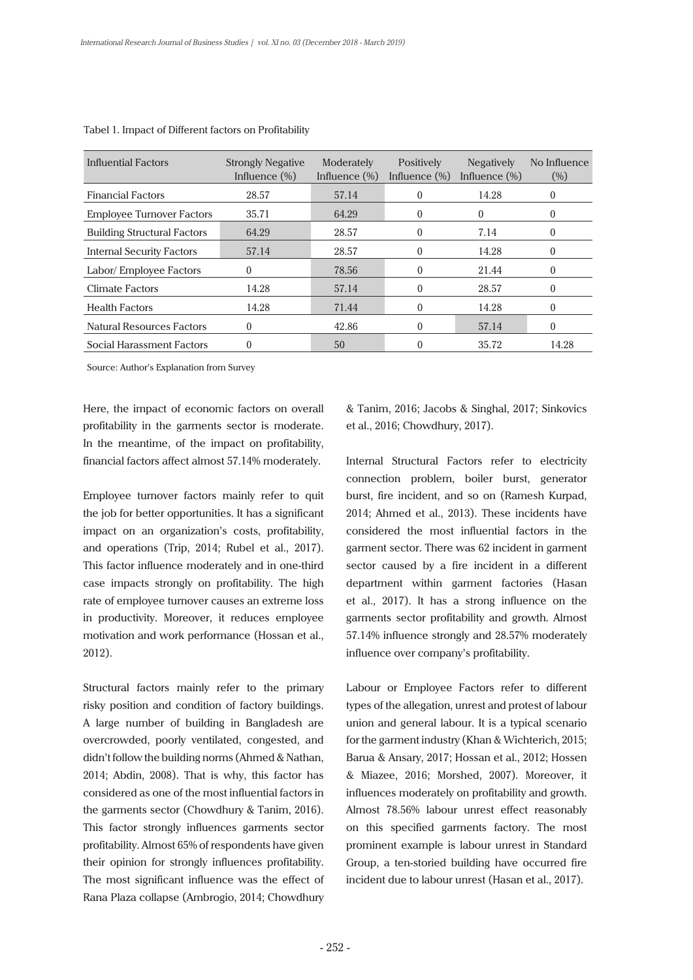| Influential Factors                | <b>Strongly Negative</b><br>Influence $(\%)$ | Moderately<br>Influence $(\%)$ | Positively<br>Influence $(\%)$ | <b>Negatively</b><br>Influence $(\%)$ | No Influence<br>(% ) |
|------------------------------------|----------------------------------------------|--------------------------------|--------------------------------|---------------------------------------|----------------------|
| <b>Financial Factors</b>           | 28.57                                        | 57.14                          | 0                              | 14.28                                 | 0                    |
| <b>Employee Turnover Factors</b>   | 35.71                                        | 64.29                          | 0                              | $\theta$                              |                      |
| <b>Building Structural Factors</b> | 64.29                                        | 28.57                          | 0                              | 7.14                                  | 0                    |
| Internal Security Factors          | 57.14                                        | 28.57                          | 0                              | 14.28                                 | 0                    |
| Labor/ Employee Factors            | 0                                            | 78.56                          | 0                              | 21.44                                 | 0                    |
| Climate Factors                    | 14.28                                        | 57.14                          | 0                              | 28.57                                 | 0                    |
| <b>Health Factors</b>              | 14.28                                        | 71.44                          | 0                              | 14.28                                 | 0                    |
| <b>Natural Resources Factors</b>   | 0                                            | 42.86                          | 0                              | 57.14                                 | 0                    |
| Social Harassment Factors          | 0                                            | 50                             |                                | 35.72                                 | 14.28                |

#### Tabel 1. Impact of Different factors on Profitability

Source: Author's Explanation from Survey

Here, the impact of economic factors on overall profitability in the garments sector is moderate. In the meantime, of the impact on profitability, financial factors affect almost 57.14% moderately.

Employee turnover factors mainly refer to quit the job for better opportunities. It has a significant impact on an organization's costs, profitability, and operations (Trip, 2014; Rubel et al., 2017). This factor influence moderately and in one-third case impacts strongly on profitability. The high rate of employee turnover causes an extreme loss in productivity. Moreover, it reduces employee motivation and work performance (Hossan et al., 2012).

Structural factors mainly refer to the primary risky position and condition of factory buildings. A large number of building in Bangladesh are overcrowded, poorly ventilated, congested, and didn't follow the building norms (Ahmed & Nathan, 2014; Abdin, 2008). That is why, this factor has considered as one of the most influential factors in the garments sector (Chowdhury & Tanim, 2016). This factor strongly influences garments sector profitability. Almost 65% of respondents have given their opinion for strongly influences profitability. The most significant influence was the effect of Rana Plaza collapse (Ambrogio, 2014; Chowdhury & Tanim, 2016; Jacobs & Singhal, 2017; Sinkovics et al., 2016; Chowdhury, 2017).

Internal Structural Factors refer to electricity connection problem, boiler burst, generator burst, fire incident, and so on (Ramesh Kurpad, 2014; Ahmed et al., 2013). These incidents have considered the most influential factors in the garment sector. There was 62 incident in garment sector caused by a fire incident in a different department within garment factories (Hasan et al., 2017). It has a strong influence on the garments sector profitability and growth. Almost 57.14% influence strongly and 28.57% moderately influence over company's profitability.

Labour or Employee Factors refer to different types of the allegation, unrest and protest of labour union and general labour. It is a typical scenario for the garment industry (Khan & Wichterich, 2015; Barua & Ansary, 2017; Hossan et al., 2012; Hossen & Miazee, 2016; Morshed, 2007). Moreover, it influences moderately on profitability and growth. Almost 78.56% labour unrest effect reasonably on this specified garments factory. The most prominent example is labour unrest in Standard Group, a ten-storied building have occurred fire incident due to labour unrest (Hasan et al., 2017).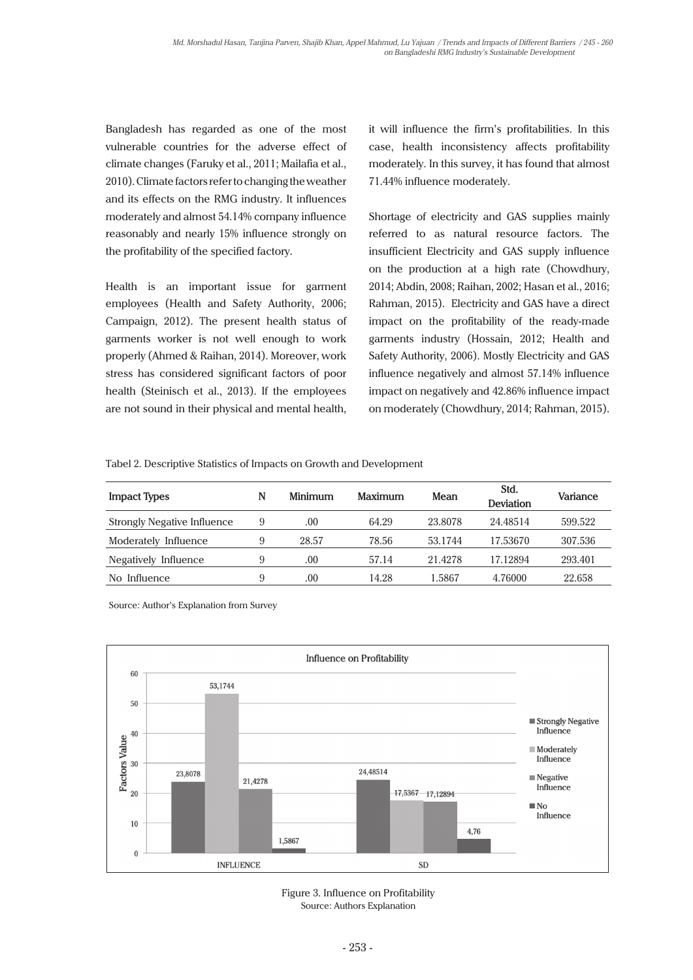Bangladesh has regarded as one of the most vulnerable countries for the adverse effect of climate changes (Faruky et al., 2011; Mailafia et al., 2010). Climate factors refer to changing the weather and its effects on the RMG industry. It influences moderately and almost 54.14% company influence reasonably and nearly 15% influence strongly on the profitability of the specified factory.

Health is an important issue for garment employees (Health and Safety Authority, 2006; Campaign, 2012). The present health status of garments worker is not well enough to work properly (Ahmed & Raihan, 2014). Moreover, work stress has considered significant factors of poor health (Steinisch et al., 2013). If the employees are not sound in their physical and mental health,

it will influence the firm's profitabilities. In this case, health inconsistency affects profitability moderately. In this survey, it has found that almost 71.44% influence moderately.

Shortage of electricity and GAS supplies mainly referred to as natural resource factors. The insufficient Electricity and GAS supply influence on the production at a high rate (Chowdhury, 2014; Abdin, 2008; Raihan, 2002; Hasan et al., 2016; Rahman, 2015). Electricity and GAS have a direct impact on the profitability of the ready-made garments industry (Hossain, 2012; Health and Safety Authority, 2006). Mostly Electricity and GAS influence negatively and almost 57.14% influence impact on negatively and 42.86% influence impact on moderately (Chowdhury, 2014; Rahman, 2015).

Tabel 2. Descriptive Statistics of Impacts on Growth and Development

| Impact Types                       | N | Minimum | Maximum | Mean    | Std.<br><b>Deviation</b> | Variance |
|------------------------------------|---|---------|---------|---------|--------------------------|----------|
| <b>Strongly Negative Influence</b> | 9 | .00     | 64.29   | 23.8078 | 24.48514                 | 599.522  |
| Moderately Influence               | 9 | 28.57   | 78.56   | 53.1744 | 17.53670                 | 307.536  |
| Negatively Influence               | 9 | .00.    | 57.14   | 21.4278 | 17.12894                 | 293.401  |
| Influence<br>No.                   | 9 | .00     | 14.28   | 1.5867  | 4.76000                  | 22.658   |

Source: Author's Explanation from Survey



Figure 3. Influence on Profitability Source: Authors Explanation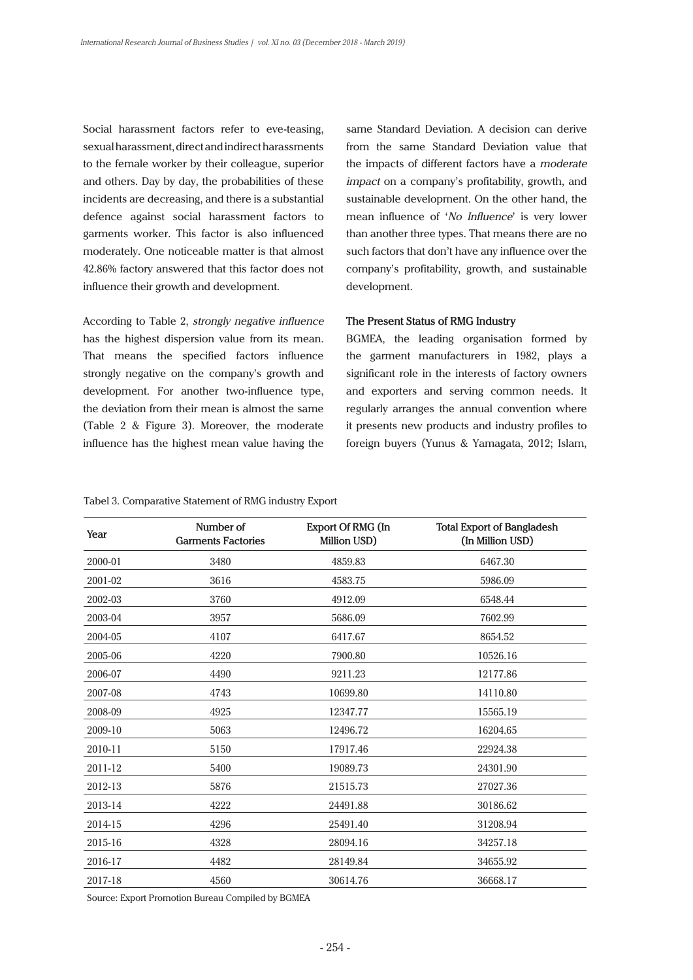Social harassment factors refer to eve-teasing, sexual harassment, direct and indirect harassments to the female worker by their colleague, superior and others. Day by day, the probabilities of these incidents are decreasing, and there is a substantial defence against social harassment factors to garments worker. This factor is also influenced moderately. One noticeable matter is that almost 42.86% factory answered that this factor does not influence their growth and development.

According to Table 2, *strongly negative influence* has the highest dispersion value from its mean. That means the specified factors influence strongly negative on the company's growth and development. For another two-influence type, the deviation from their mean is almost the same (Table 2 & Figure 3). Moreover, the moderate influence has the highest mean value having the same Standard Deviation. A decision can derive from the same Standard Deviation value that the impacts of different factors have a *moderate impact* on a company's profitability, growth, and sustainable development. On the other hand, the mean influence of '*No Influence*' is very lower than another three types. That means there are no such factors that don't have any influence over the company's profitability, growth, and sustainable development.

# **The Present Status of RMG Industry**

BGMEA, the leading organisation formed by the garment manufacturers in 1982, plays a significant role in the interests of factory owners and exporters and serving common needs. It regularly arranges the annual convention where it presents new products and industry profiles to foreign buyers (Yunus & Yamagata, 2012; Islam,

## Tabel 3. Comparative Statement of RMG industry Export

| Year    | Number of<br><b>Garments Factories</b> | Export Of RMG (In<br>Million USD) | <b>Total Export of Bangladesh</b><br>(In Million USD) |
|---------|----------------------------------------|-----------------------------------|-------------------------------------------------------|
| 2000-01 | 3480                                   | 4859.83                           | 6467.30                                               |
| 2001-02 | 3616                                   | 4583.75                           | 5986.09                                               |
| 2002-03 | 3760                                   | 4912.09                           | 6548.44                                               |
| 2003-04 | 3957                                   | 5686.09                           | 7602.99                                               |
| 2004-05 | 4107                                   | 6417.67                           | 8654.52                                               |
| 2005-06 | 4220                                   | 7900.80                           | 10526.16                                              |
| 2006-07 | 4490                                   | 9211.23                           | 12177.86                                              |
| 2007-08 | 4743                                   | 10699.80                          | 14110.80                                              |
| 2008-09 | 4925                                   | 12347.77                          | 15565.19                                              |
| 2009-10 | 5063                                   | 12496.72                          | 16204.65                                              |
| 2010-11 | 5150                                   | 17917.46                          | 22924.38                                              |
| 2011-12 | 5400                                   | 19089.73                          | 24301.90                                              |
| 2012-13 | 5876                                   | 21515.73                          | 27027.36                                              |
| 2013-14 | 4222                                   | 24491.88                          | 30186.62                                              |
| 2014-15 | 4296                                   | 25491.40                          | 31208.94                                              |
| 2015-16 | 4328                                   | 28094.16                          | 34257.18                                              |
| 2016-17 | 4482                                   | 28149.84                          | 34655.92                                              |
| 2017-18 | 4560                                   | 30614.76                          | 36668.17                                              |

Source: Export Promotion Bureau Compiled by BGMEA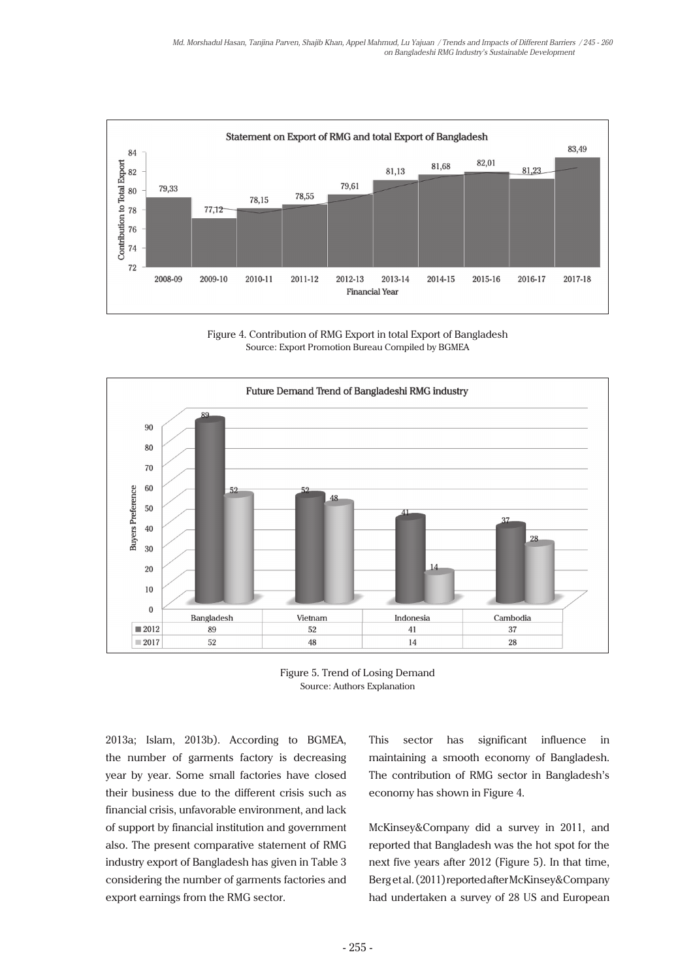

Figure 4. Contribution of RMG Export in total Export of Bangladesh Source: Export Promotion Bureau Compiled by BGMEA





2013a; Islam, 2013b). According to BGMEA, the number of garments factory is decreasing year by year. Some small factories have closed their business due to the different crisis such as financial crisis, unfavorable environment, and lack of support by financial institution and government also. The present comparative statement of RMG industry export of Bangladesh has given in Table 3 considering the number of garments factories and export earnings from the RMG sector.

This sector has significant influence in maintaining a smooth economy of Bangladesh. The contribution of RMG sector in Bangladesh's economy has shown in Figure 4.

McKinsey&Company did a survey in 2011, and reported that Bangladesh was the hot spot for the next five years after 2012 (Figure 5). In that time, Berg et al. (2011) reported after McKinsey&Company had undertaken a survey of 28 US and European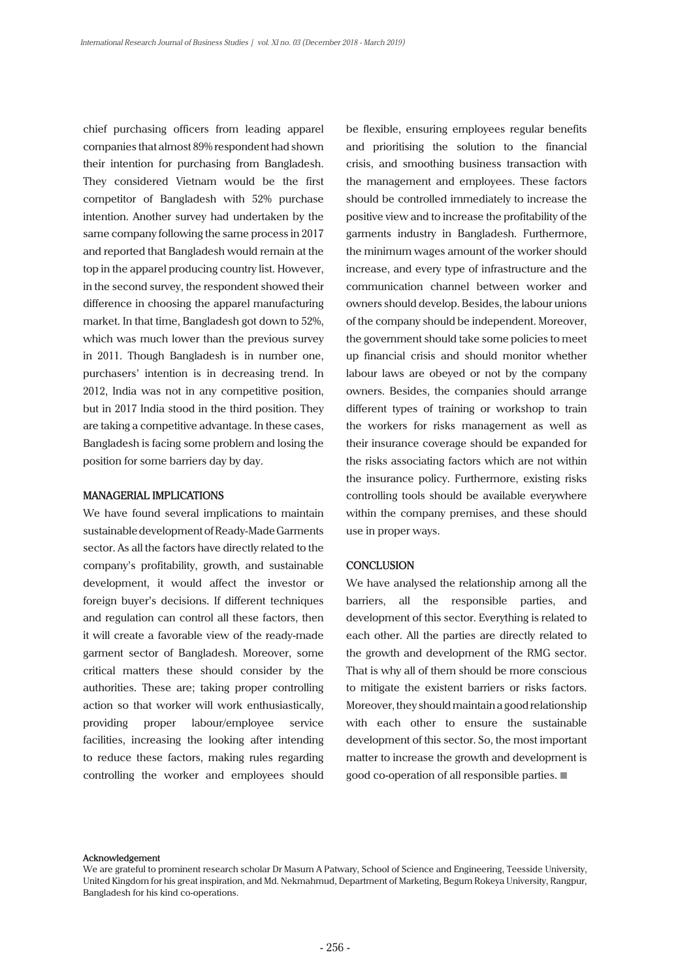chief purchasing officers from leading apparel companies that almost 89% respondent had shown their intention for purchasing from Bangladesh. They considered Vietnam would be the first competitor of Bangladesh with 52% purchase intention. Another survey had undertaken by the same company following the same process in 2017 and reported that Bangladesh would remain at the top in the apparel producing country list. However, in the second survey, the respondent showed their difference in choosing the apparel manufacturing market. In that time, Bangladesh got down to 52%, which was much lower than the previous survey in 2011. Though Bangladesh is in number one, purchasers' intention is in decreasing trend. In 2012, India was not in any competitive position, but in 2017 India stood in the third position. They are taking a competitive advantage. In these cases, Bangladesh is facing some problem and losing the position for some barriers day by day.

## **MANAGERIAL IMPLICATIONS**

We have found several implications to maintain sustainable development of Ready-Made Garments sector. As all the factors have directly related to the company's profitability, growth, and sustainable development, it would affect the investor or foreign buyer's decisions. If different techniques and regulation can control all these factors, then it will create a favorable view of the ready-made garment sector of Bangladesh. Moreover, some critical matters these should consider by the authorities. These are; taking proper controlling action so that worker will work enthusiastically, providing proper labour/employee service facilities, increasing the looking after intending to reduce these factors, making rules regarding controlling the worker and employees should be flexible, ensuring employees regular benefits and prioritising the solution to the financial crisis, and smoothing business transaction with the management and employees. These factors should be controlled immediately to increase the positive view and to increase the profitability of the garments industry in Bangladesh. Furthermore, the minimum wages amount of the worker should increase, and every type of infrastructure and the communication channel between worker and owners should develop. Besides, the labour unions of the company should be independent. Moreover, the government should take some policies to meet up financial crisis and should monitor whether labour laws are obeyed or not by the company owners. Besides, the companies should arrange different types of training or workshop to train the workers for risks management as well as their insurance coverage should be expanded for the risks associating factors which are not within the insurance policy. Furthermore, existing risks controlling tools should be available everywhere within the company premises, and these should use in proper ways.

# **CONCLUSION**

We have analysed the relationship among all the barriers, all the responsible parties, and development of this sector. Everything is related to each other. All the parties are directly related to the growth and development of the RMG sector. That is why all of them should be more conscious to mitigate the existent barriers or risks factors. Moreover, they should maintain a good relationship with each other to ensure the sustainable development of this sector. So, the most important matter to increase the growth and development is good co-operation of all responsible parties.

#### **Acknowledgement**

We are grateful to prominent research scholar Dr Masum A Patwary, School of Science and Engineering, Teesside University, United Kingdom for his great inspiration, and Md. Nekmahmud, Department of Marketing, Begum Rokeya University, Rangpur, Bangladesh for his kind co-operations.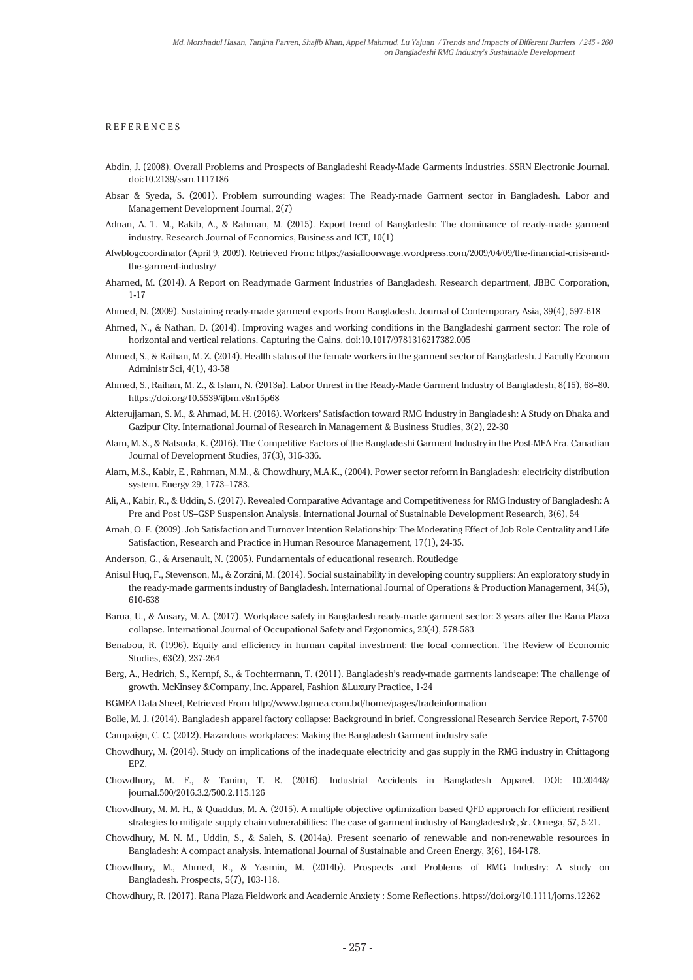#### **REFERENCES**

- Abdin, J. (2008). Overall Problems and Prospects of Bangladeshi Ready-Made Garments Industries. SSRN Electronic Journal. doi:10.2139/ssrn.1117186
- Absar & Syeda, S. (2001). Problem surrounding wages: The Ready-made Garment sector in Bangladesh. Labor and Management Development Journal, 2(7)
- Adnan, A. T. M., Rakib, A., & Rahman, M. (2015). Export trend of Bangladesh: The dominance of ready-made garment industry. Research Journal of Economics, Business and ICT, 10(1)
- Afwblogcoordinator (April 9, 2009). Retrieved From: https://asiafloorwage.wordpress.com/2009/04/09/the-financial-crisis-andthe-garment-industry/
- Ahamed, M. (2014). A Report on Readymade Garment Industries of Bangladesh. Research department, JBBC Corporation, 1-17

Ahmed, N. (2009). Sustaining ready-made garment exports from Bangladesh. Journal of Contemporary Asia, 39(4), 597-618

- Ahmed, N., & Nathan, D. (2014). Improving wages and working conditions in the Bangladeshi garment sector: The role of horizontal and vertical relations. Capturing the Gains. doi:10.1017/9781316217382.005
- Ahmed, S., & Raihan, M. Z. (2014). Health status of the female workers in the garment sector of Bangladesh. J Faculty Econom Administr Sci, 4(1), 43-58
- Ahmed, S., Raihan, M. Z., & Islam, N. (2013a). Labor Unrest in the Ready-Made Garment Industry of Bangladesh, 8(15), 68–80. https://doi.org/10.5539/ijbm.v8n15p68
- Akterujjaman, S. M., & Ahmad, M. H. (2016). Workers' Satisfaction toward RMG Industry in Bangladesh: A Study on Dhaka and Gazipur City. International Journal of Research in Management & Business Studies, 3(2), 22-30
- Alam, M. S., & Natsuda, K. (2016). The Competitive Factors of the Bangladeshi Garment Industry in the Post-MFA Era. Canadian Journal of Development Studies, 37(3), 316-336.
- Alam, M.S., Kabir, E., Rahman, M.M., & Chowdhury, M.A.K., (2004). Power sector reform in Bangladesh: electricity distribution system. Energy 29, 1773–1783.
- Ali, A., Kabir, R., & Uddin, S. (2017). Revealed Comparative Advantage and Competitiveness for RMG Industry of Bangladesh: A Pre and Post US–GSP Suspension Analysis. International Journal of Sustainable Development Research, 3(6), 54
- Amah, O. E. (2009). Job Satisfaction and Turnover Intention Relationship: The Moderating Effect of Job Role Centrality and Life Satisfaction, Research and Practice in Human Resource Management, 17(1), 24-35.
- Anderson, G., & Arsenault, N. (2005). Fundamentals of educational research. Routledge
- Anisul Huq, F., Stevenson, M., & Zorzini, M. (2014). Social sustainability in developing country suppliers: An exploratory study in the ready-made garments industry of Bangladesh. International Journal of Operations & Production Management, 34(5), 610-638
- Barua, U., & Ansary, M. A. (2017). Workplace safety in Bangladesh ready-made garment sector: 3 years after the Rana Plaza collapse. International Journal of Occupational Safety and Ergonomics, 23(4), 578-583
- Benabou, R. (1996). Equity and efficiency in human capital investment: the local connection. The Review of Economic Studies, 63(2), 237-264
- Berg, A., Hedrich, S., Kempf, S., & Tochtermann, T. (2011). Bangladesh's ready-made garments landscape: The challenge of growth. McKinsey &Company, Inc. Apparel, Fashion &Luxury Practice, 1-24
- BGMEA Data Sheet, Retrieved From http://www.bgmea.com.bd/home/pages/tradeinformation
- Bolle, M. J. (2014). Bangladesh apparel factory collapse: Background in brief. Congressional Research Service Report, 7-5700
- Campaign, C. C. (2012). Hazardous workplaces: Making the Bangladesh Garment industry safe
- Chowdhury, M. (2014). Study on implications of the inadequate electricity and gas supply in the RMG industry in Chittagong EPZ.
- Chowdhury, M. F., & Tanim, T. R. (2016). Industrial Accidents in Bangladesh Apparel. DOI: 10.20448/ journal.500/2016.3.2/500.2.115.126
- Chowdhury, M. M. H., & Quaddus, M. A. (2015). A multiple objective optimization based QFD approach for efficient resilient strategies to mitigate supply chain vulnerabilities: The case of garment industry of Bangladesh☆,☆. Omega, 57, 5-21.
- Chowdhury, M. N. M., Uddin, S., & Saleh, S. (2014a). Present scenario of renewable and non-renewable resources in Bangladesh: A compact analysis. International Journal of Sustainable and Green Energy, 3(6), 164-178.
- Chowdhury, M., Ahmed, R., & Yasmin, M. (2014b). Prospects and Problems of RMG Industry: A study on Bangladesh. Prospects, 5(7), 103-118.
- Chowdhury, R. (2017). Rana Plaza Fieldwork and Academic Anxiety : Some Reflections. https://doi.org/10.1111/joms.12262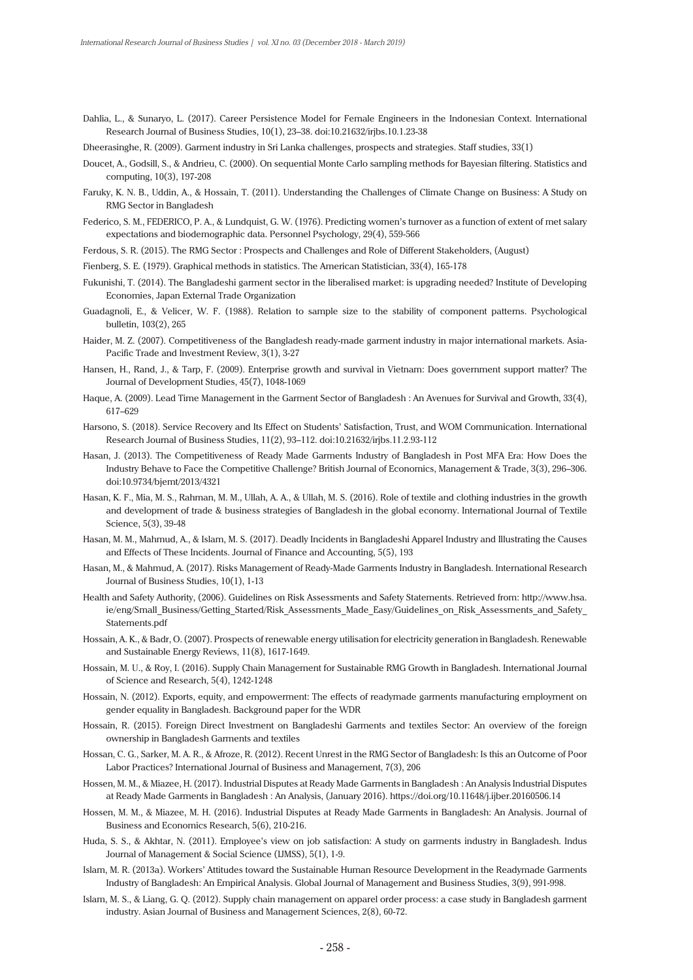Dahlia, L., & Sunaryo, L. (2017). Career Persistence Model for Female Engineers in the Indonesian Context. International Research Journal of Business Studies, 10(1), 23–38. doi:10.21632/irjbs.10.1.23-38

Dheerasinghe, R. (2009). Garment industry in Sri Lanka challenges, prospects and strategies. Staff studies, 33(1)

- Doucet, A., Godsill, S., & Andrieu, C. (2000). On sequential Monte Carlo sampling methods for Bayesian filtering. Statistics and computing, 10(3), 197-208
- Faruky, K. N. B., Uddin, A., & Hossain, T. (2011). Understanding the Challenges of Climate Change on Business: A Study on RMG Sector in Bangladesh
- Federico, S. M., FEDERICO, P. A., & Lundquist, G. W. (1976). Predicting women's turnover as a function of extent of met salary expectations and biodemographic data. Personnel Psychology, 29(4), 559-566
- Ferdous, S. R. (2015). The RMG Sector : Prospects and Challenges and Role of Different Stakeholders, (August)
- Fienberg, S. E. (1979). Graphical methods in statistics. The American Statistician, 33(4), 165-178
- Fukunishi, T. (2014). The Bangladeshi garment sector in the liberalised market: is upgrading needed? Institute of Developing Economies, Japan External Trade Organization
- Guadagnoli, E., & Velicer, W. F. (1988). Relation to sample size to the stability of component patterns. Psychological bulletin, 103(2), 265
- Haider, M. Z. (2007). Competitiveness of the Bangladesh ready-made garment industry in major international markets. Asia-Pacific Trade and Investment Review, 3(1), 3-27
- Hansen, H., Rand, J., & Tarp, F. (2009). Enterprise growth and survival in Vietnam: Does government support matter? The Journal of Development Studies, 45(7), 1048-1069
- Haque, A. (2009). Lead Time Management in the Garment Sector of Bangladesh : An Avenues for Survival and Growth, 33(4), 617–629
- Harsono, S. (2018). Service Recovery and Its Effect on Students' Satisfaction, Trust, and WOM Communication. International Research Journal of Business Studies, 11(2), 93–112. doi:10.21632/irjbs.11.2.93-112
- Hasan, J. (2013). The Competitiveness of Ready Made Garments Industry of Bangladesh in Post MFA Era: How Does the Industry Behave to Face the Competitive Challenge? British Journal of Economics, Management & Trade, 3(3), 296–306. doi:10.9734/bjemt/2013/4321
- Hasan, K. F., Mia, M. S., Rahman, M. M., Ullah, A. A., & Ullah, M. S. (2016). Role of textile and clothing industries in the growth and development of trade & business strategies of Bangladesh in the global economy. International Journal of Textile Science, 5(3), 39-48
- Hasan, M. M., Mahmud, A., & Islam, M. S. (2017). Deadly Incidents in Bangladeshi Apparel Industry and Illustrating the Causes and Effects of These Incidents. Journal of Finance and Accounting, 5(5), 193
- Hasan, M., & Mahmud, A. (2017). Risks Management of Ready-Made Garments Industry in Bangladesh. International Research Journal of Business Studies, 10(1), 1-13
- Health and Safety Authority, (2006). Guidelines on Risk Assessments and Safety Statements. Retrieved from: http://www.hsa. ie/eng/Small\_Business/Getting\_Started/Risk\_Assessments\_Made\_Easy/Guidelines\_on\_Risk\_Assessments\_and\_Safety\_ Statements.pdf
- Hossain, A. K., & Badr, O. (2007). Prospects of renewable energy utilisation for electricity generation in Bangladesh. Renewable and Sustainable Energy Reviews, 11(8), 1617-1649.
- Hossain, M. U., & Roy, I. (2016). Supply Chain Management for Sustainable RMG Growth in Bangladesh. International Journal of Science and Research, 5(4), 1242-1248
- Hossain, N. (2012). Exports, equity, and empowerment: The effects of readymade garments manufacturing employment on gender equality in Bangladesh. Background paper for the WDR
- Hossain, R. (2015). Foreign Direct Investment on Bangladeshi Garments and textiles Sector: An overview of the foreign ownership in Bangladesh Garments and textiles
- Hossan, C. G., Sarker, M. A. R., & Afroze, R. (2012). Recent Unrest in the RMG Sector of Bangladesh: Is this an Outcome of Poor Labor Practices? International Journal of Business and Management, 7(3), 206
- Hossen, M. M., & Miazee, H. (2017). Industrial Disputes at Ready Made Garments in Bangladesh : An Analysis Industrial Disputes at Ready Made Garments in Bangladesh : An Analysis, (January 2016). https://doi.org/10.11648/j.ijber.20160506.14
- Hossen, M. M., & Miazee, M. H. (2016). Industrial Disputes at Ready Made Garments in Bangladesh: An Analysis. Journal of Business and Economics Research, 5(6), 210-216.
- Huda, S. S., & Akhtar, N. (2011). Employee's view on job satisfaction: A study on garments industry in Bangladesh. Indus Journal of Management & Social Science (IJMSS), 5(1), 1-9.
- Islam, M. R. (2013a). Workers' Attitudes toward the Sustainable Human Resource Development in the Readymade Garments Industry of Bangladesh: An Empirical Analysis. Global Journal of Management and Business Studies, 3(9), 991-998.
- Islam, M. S., & Liang, G. Q. (2012). Supply chain management on apparel order process: a case study in Bangladesh garment industry. Asian Journal of Business and Management Sciences, 2(8), 60-72.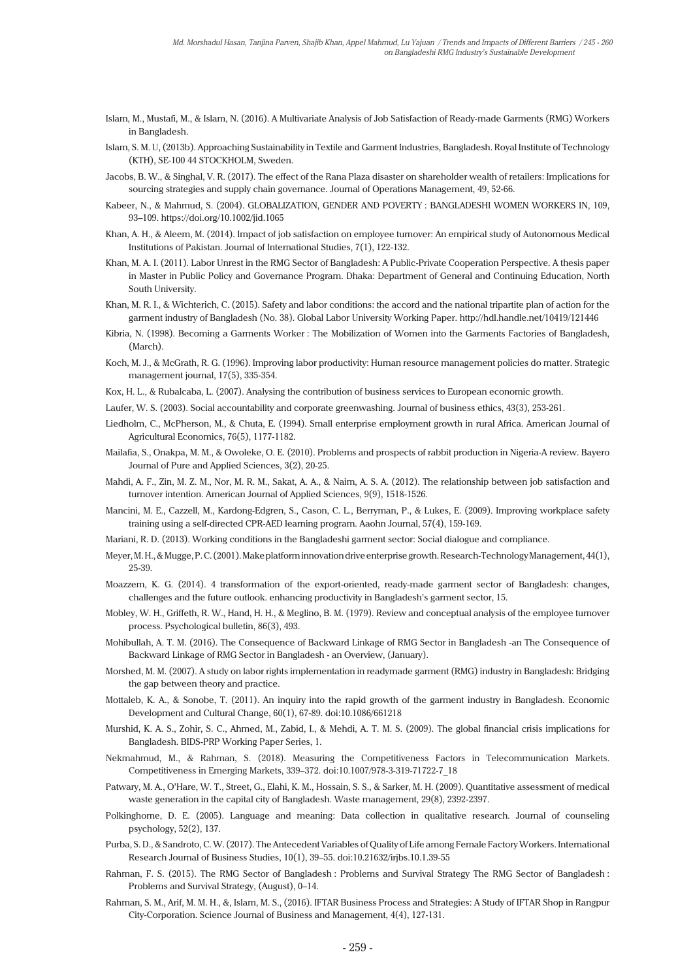- Islam, M., Mustafi, M., & Islam, N. (2016). A Multivariate Analysis of Job Satisfaction of Ready-made Garments (RMG) Workers in Bangladesh.
- Islam, S. M. U, (2013b). Approaching Sustainability in Textile and Garment Industries, Bangladesh. Royal Institute of Technology (KTH), SE-100 44 STOCKHOLM, Sweden.
- Jacobs, B. W., & Singhal, V. R. (2017). The effect of the Rana Plaza disaster on shareholder wealth of retailers: Implications for sourcing strategies and supply chain governance. Journal of Operations Management, 49, 52-66.
- Kabeer, N., & Mahmud, S. (2004). GLOBALIZATION, GENDER AND POVERTY : BANGLADESHI WOMEN WORKERS IN, 109, 93–109. https://doi.org/10.1002/jid.1065
- Khan, A. H., & Aleem, M. (2014). Impact of job satisfaction on employee turnover: An empirical study of Autonomous Medical Institutions of Pakistan. Journal of International Studies, 7(1), 122-132.
- Khan, M. A. I. (2011). Labor Unrest in the RMG Sector of Bangladesh: A Public-Private Cooperation Perspective. A thesis paper in Master in Public Policy and Governance Program. Dhaka: Department of General and Continuing Education, North South University.
- Khan, M. R. I., & Wichterich, C. (2015). Safety and labor conditions: the accord and the national tripartite plan of action for the garment industry of Bangladesh (No. 38). Global Labor University Working Paper. http://hdl.handle.net/10419/121446
- Kibria, N. (1998). Becoming a Garments Worker : The Mobilization of Women into the Garments Factories of Bangladesh, (March).
- Koch, M. J., & McGrath, R. G. (1996). Improving labor productivity: Human resource management policies do matter. Strategic management journal, 17(5), 335-354.
- Kox, H. L., & Rubalcaba, L. (2007). Analysing the contribution of business services to European economic growth.
- Laufer, W. S. (2003). Social accountability and corporate greenwashing. Journal of business ethics, 43(3), 253-261.
- Liedholm, C., McPherson, M., & Chuta, E. (1994). Small enterprise employment growth in rural Africa. American Journal of Agricultural Economics, 76(5), 1177-1182.
- Mailafia, S., Onakpa, M. M., & Owoleke, O. E. (2010). Problems and prospects of rabbit production in Nigeria-A review. Bayero Journal of Pure and Applied Sciences, 3(2), 20-25.
- Mahdi, A. F., Zin, M. Z. M., Nor, M. R. M., Sakat, A. A., & Naim, A. S. A. (2012). The relationship between job satisfaction and turnover intention. American Journal of Applied Sciences, 9(9), 1518-1526.
- Mancini, M. E., Cazzell, M., Kardong-Edgren, S., Cason, C. L., Berryman, P., & Lukes, E. (2009). Improving workplace safety training using a self-directed CPR-AED learning program. Aaohn Journal, 57(4), 159-169.
- Mariani, R. D. (2013). Working conditions in the Bangladeshi garment sector: Social dialogue and compliance.
- Meyer, M. H., & Mugge, P. C. (2001). Make platform innovation drive enterprise growth.Research-Technology Management,44(1), 25-39.
- Moazzem, K. G. (2014). 4 transformation of the export-oriented, ready-made garment sector of Bangladesh: changes, challenges and the future outlook. enhancing productivity in Bangladesh's garment sector, 15.
- Mobley, W. H., Griffeth, R. W., Hand, H. H., & Meglino, B. M. (1979). Review and conceptual analysis of the employee turnover process. Psychological bulletin, 86(3), 493.
- Mohibullah, A. T. M. (2016). The Consequence of Backward Linkage of RMG Sector in Bangladesh -an The Consequence of Backward Linkage of RMG Sector in Bangladesh - an Overview, (January).
- Morshed, M. M. (2007). A study on labor rights implementation in readymade garment (RMG) industry in Bangladesh: Bridging the gap between theory and practice.
- Mottaleb, K. A., & Sonobe, T. (2011). An inquiry into the rapid growth of the garment industry in Bangladesh. Economic Development and Cultural Change, 60(1), 67-89. doi:10.1086/661218
- Murshid, K. A. S., Zohir, S. C., Ahmed, M., Zabid, I., & Mehdi, A. T. M. S. (2009). The global financial crisis implications for Bangladesh. BIDS-PRP Working Paper Series, 1.
- Nekmahmud, M., & Rahman, S. (2018). Measuring the Competitiveness Factors in Telecommunication Markets. Competitiveness in Emerging Markets, 339–372. doi:10.1007/978-3-319-71722-7\_18
- Patwary, M. A., O'Hare, W. T., Street, G., Elahi, K. M., Hossain, S. S., & Sarker, M. H. (2009). Quantitative assessment of medical waste generation in the capital city of Bangladesh. Waste management, 29(8), 2392-2397.
- Polkinghorne, D. E. (2005). Language and meaning: Data collection in qualitative research. Journal of counseling psychology, 52(2), 137.
- Purba, S. D., & Sandroto, C. W. (2017). The Antecedent Variables of Quality of Life among Female Factory Workers. International Research Journal of Business Studies, 10(1), 39–55. doi:10.21632/irjbs.10.1.39-55
- Rahman, F. S. (2015). The RMG Sector of Bangladesh : Problems and Survival Strategy The RMG Sector of Bangladesh : Problems and Survival Strategy, (August), 0–14.
- Rahman, S. M., Arif, M. M. H., &, Islam, M. S., (2016). IFTAR Business Process and Strategies: A Study of IFTAR Shop in Rangpur City-Corporation. Science Journal of Business and Management, 4(4), 127-131.